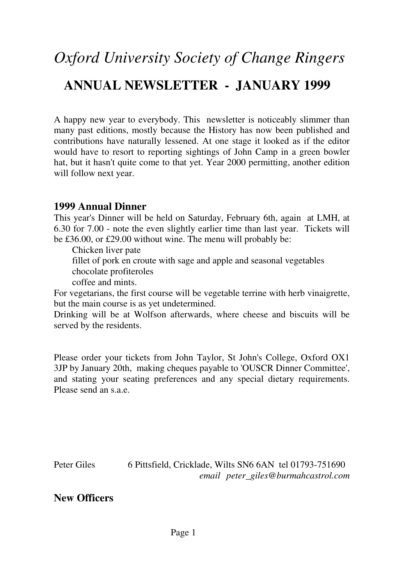# *Oxford University Society of Change Ringers*  **ANNUAL NEWSLETTER - JANUARY 1999**

A happy new year to everybody. This newsletter is noticeably slimmer than many past editions, mostly because the History has now been published and contributions have naturally lessened. At one stage it looked as if the editor would have to resort to reporting sightings of John Camp in a green bowler hat, but it hasn't quite come to that yet. Year 2000 permitting, another edition will follow next year.

#### **1999 Annual Dinner**

This year's Dinner will be held on Saturday, February 6th, again at LMH, at 6.30 for 7.00 - note the even slightly earlier time than last year. Tickets will be £36.00, or £29.00 without wine. The menu will probably be:

Chicken liver pate

fillet of pork en croute with sage and apple and seasonal vegetables

chocolate profiteroles

coffee and mints.

For vegetarians, the first course will be vegetable terrine with herb vinaigrette, but the main course is as yet undetermined.

Drinking will be at Wolfson afterwards, where cheese and biscuits will be served by the residents.

Please order your tickets from John Taylor, St John's College, Oxford OX1 3JP by January 20th, making cheques payable to 'OUSCR Dinner Committee', and stating your seating preferences and any special dietary requirements. Please send an s.a.e.

Peter Giles 6 Pittsfield, Cricklade, Wilts SN6 6AN tel 01793-751690 *email peter\_giles@burmahcastrol.com*

**New Officers**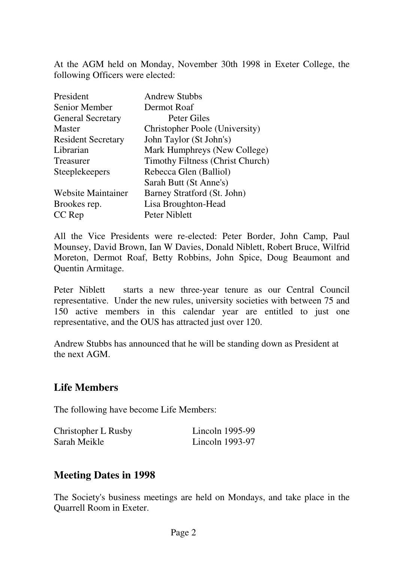At the AGM held on Monday, November 30th 1998 in Exeter College, the following Officers were elected:

| President                 | <b>Andrew Stubbs</b>                    |
|---------------------------|-----------------------------------------|
| Senior Member             | Dermot Roaf                             |
| <b>General Secretary</b>  | Peter Giles                             |
| <b>Master</b>             | <b>Christopher Poole (University)</b>   |
| <b>Resident Secretary</b> | John Taylor (St John's)                 |
| Librarian                 | Mark Humphreys (New College)            |
| <b>Treasurer</b>          | <b>Timothy Filtness (Christ Church)</b> |
| Steeplekeepers            | Rebecca Glen (Balliol)                  |
|                           | Sarah Butt (St Anne's)                  |
| <b>Website Maintainer</b> | Barney Stratford (St. John)             |
| Brookes rep.              | Lisa Broughton-Head                     |
| CC Rep                    | Peter Niblett                           |

All the Vice Presidents were re-elected: Peter Border, John Camp, Paul Mounsey, David Brown, Ian W Davies, Donald Niblett, Robert Bruce, Wilfrid Moreton, Dermot Roaf, Betty Robbins, John Spice, Doug Beaumont and Quentin Armitage.

Peter Niblett starts a new three-year tenure as our Central Council representative. Under the new rules, university societies with between 75 and 150 active members in this calendar year are entitled to just one representative, and the OUS has attracted just over 120.

Andrew Stubbs has announced that he will be standing down as President at the next AGM.

## **Life Members**

The following have become Life Members:

| Christopher L Rusby | Lincoln $1995-99$ |
|---------------------|-------------------|
| Sarah Meikle        | Lincoln $1993-97$ |

## **Meeting Dates in 1998**

The Society's business meetings are held on Mondays, and take place in the Quarrell Room in Exeter.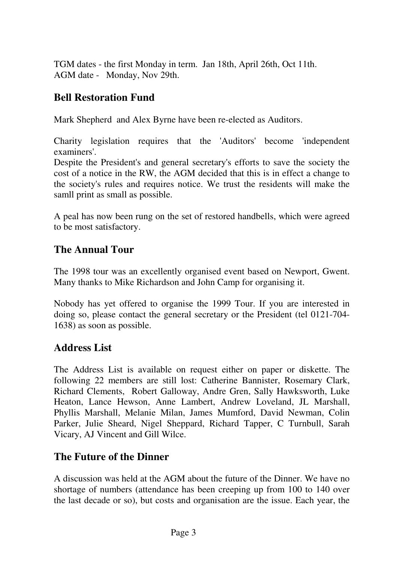TGM dates - the first Monday in term. Jan 18th, April 26th, Oct 11th. AGM date - Monday, Nov 29th.

## **Bell Restoration Fund**

Mark Shepherd and Alex Byrne have been re-elected as Auditors.

Charity legislation requires that the 'Auditors' become 'independent examiners'.

Despite the President's and general secretary's efforts to save the society the cost of a notice in the RW, the AGM decided that this is in effect a change to the society's rules and requires notice. We trust the residents will make the samll print as small as possible.

A peal has now been rung on the set of restored handbells, which were agreed to be most satisfactory.

## **The Annual Tour**

The 1998 tour was an excellently organised event based on Newport, Gwent. Many thanks to Mike Richardson and John Camp for organising it.

Nobody has yet offered to organise the 1999 Tour. If you are interested in doing so, please contact the general secretary or the President (tel 0121-704- 1638) as soon as possible.

## **Address List**

The Address List is available on request either on paper or diskette. The following 22 members are still lost: Catherine Bannister, Rosemary Clark, Richard Clements, Robert Galloway, Andre Gren, Sally Hawksworth, Luke Heaton, Lance Hewson, Anne Lambert, Andrew Loveland, JL Marshall, Phyllis Marshall, Melanie Milan, James Mumford, David Newman, Colin Parker, Julie Sheard, Nigel Sheppard, Richard Tapper, C Turnbull, Sarah Vicary, AJ Vincent and Gill Wilce.

## **The Future of the Dinner**

A discussion was held at the AGM about the future of the Dinner. We have no shortage of numbers (attendance has been creeping up from 100 to 140 over the last decade or so), but costs and organisation are the issue. Each year, the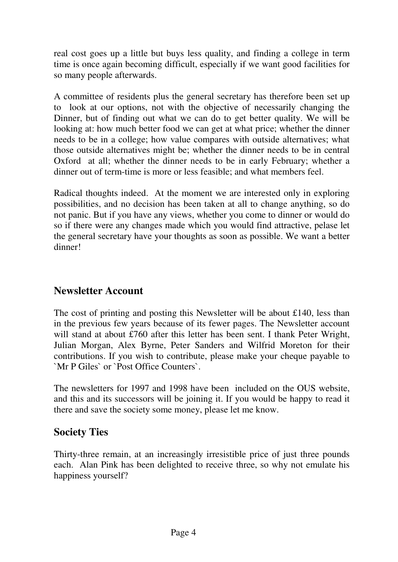real cost goes up a little but buys less quality, and finding a college in term time is once again becoming difficult, especially if we want good facilities for so many people afterwards.

A committee of residents plus the general secretary has therefore been set up to look at our options, not with the objective of necessarily changing the Dinner, but of finding out what we can do to get better quality. We will be looking at: how much better food we can get at what price; whether the dinner needs to be in a college; how value compares with outside alternatives; what those outside alternatives might be; whether the dinner needs to be in central Oxford at all; whether the dinner needs to be in early February; whether a dinner out of term-time is more or less feasible; and what members feel.

Radical thoughts indeed. At the moment we are interested only in exploring possibilities, and no decision has been taken at all to change anything, so do not panic. But if you have any views, whether you come to dinner or would do so if there were any changes made which you would find attractive, pelase let the general secretary have your thoughts as soon as possible. We want a better dinner!

## **Newsletter Account**

The cost of printing and posting this Newsletter will be about £140, less than in the previous few years because of its fewer pages. The Newsletter account will stand at about £760 after this letter has been sent. I thank Peter Wright, Julian Morgan, Alex Byrne, Peter Sanders and Wilfrid Moreton for their contributions. If you wish to contribute, please make your cheque payable to `Mr P Giles` or `Post Office Counters`.

The newsletters for 1997 and 1998 have been included on the OUS website, and this and its successors will be joining it. If you would be happy to read it there and save the society some money, please let me know.

## **Society Ties**

Thirty-three remain, at an increasingly irresistible price of just three pounds each. Alan Pink has been delighted to receive three, so why not emulate his happiness yourself?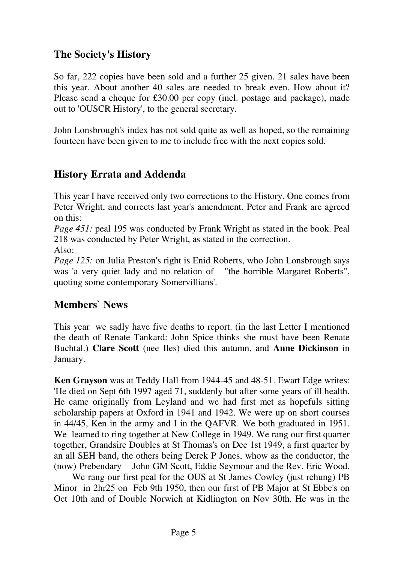## **The Society's History**

So far, 222 copies have been sold and a further 25 given. 21 sales have been this year. About another 40 sales are needed to break even. How about it? Please send a cheque for £30.00 per copy (incl. postage and package), made out to 'OUSCR History', to the general secretary.

John Lonsbrough's index has not sold quite as well as hoped, so the remaining fourteen have been given to me to include free with the next copies sold.

# **History Errata and Addenda**

This year I have received only two corrections to the History. One comes from Peter Wright, and corrects last year's amendment. Peter and Frank are agreed on this:

*Page 451:* peal 195 was conducted by Frank Wright as stated in the book. Peal 218 was conducted by Peter Wright, as stated in the correction.

Also:

*Page 125:* on Julia Preston's right is Enid Roberts, who John Lonsbrough says was 'a very quiet lady and no relation of "the horrible Margaret Roberts", quoting some contemporary Somervillians'.

## **Members` News**

This year we sadly have five deaths to report. (in the last Letter I mentioned the death of Renate Tankard: John Spice thinks she must have been Renate Buchtal.) **Clare Scott** (nee Iles) died this autumn, and **Anne Dickinson** in January.

**Ken Grayson** was at Teddy Hall from 1944-45 and 48-51. Ewart Edge writes: 'He died on Sept 6th 1997 aged 71, suddenly but after some years of ill health. He came originally from Leyland and we had first met as hopefuls sitting scholarship papers at Oxford in 1941 and 1942. We were up on short courses in 44/45, Ken in the army and I in the QAFVR. We both graduated in 1951. We learned to ring together at New College in 1949. We rang our first quarter together, Grandsire Doubles at St Thomas's on Dec 1st 1949, a first quarter by an all SEH band, the others being Derek P Jones, whow as the conductor, the (now) Prebendary John GM Scott, Eddie Seymour and the Rev. Eric Wood.

 We rang our first peal for the OUS at St James Cowley (just rehung) PB Minor in 2hr25 on Feb 9th 1950, then our first of PB Major at St Ebbe's on Oct 10th and of Double Norwich at Kidlington on Nov 30th. He was in the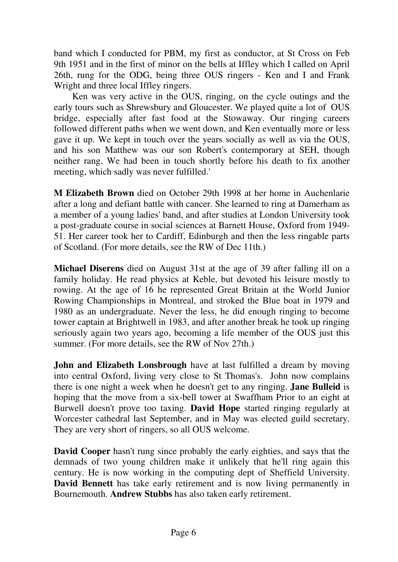band which I conducted for PBM, my first as conductor, at St Cross on Feb 9th 1951 and in the first of minor on the bells at Iffley which I called on April 26th, rung for the ODG, being three OUS ringers - Ken and I and Frank Wright and three local Iffley ringers.

 Ken was very active in the OUS, ringing, on the cycle outings and the early tours such as Shrewsbury and Gloucester. We played quite a lot of OUS bridge, especially after fast food at the Stowaway. Our ringing careers followed different paths when we went down, and Ken eventually more or less gave it up. We kept in touch over the years socially as well as via the OUS, and his son Matthew was our son Robert's contemporary at SEH, though neither rang. We had been in touch shortly before his death to fix another meeting, which sadly was never fulfilled.'

**M Elizabeth Brown** died on October 29th 1998 at her home in Auchenlarie after a long and defiant battle with cancer. She learned to ring at Damerham as a member of a young ladies' band, and after studies at London University took a post-graduate course in social sciences at Barnett House, Oxford from 1949- 51. Her career took her to Cardiff, Edinburgh and then the less ringable parts of Scotland. (For more details, see the RW of Dec 11th.)

**Michael Diserens** died on August 31st at the age of 39 after falling ill on a family holiday. He read physics at Keble, but devoted his leisure mostly to rowing. At the age of 16 he represented Great Britain at the World Junior Rowing Championships in Montreal, and stroked the Blue boat in 1979 and 1980 as an undergraduate. Never the less, he did enough ringing to become tower captain at Brightwell in 1983, and after another break he took up ringing seriously again two years ago, becoming a life member of the OUS just this summer. (For more details, see the RW of Nov 27th.)

**John and Elizabeth Lonsbrough** have at last fulfilled a dream by moving into central Oxford, living very close to St Thomas's. John now complains there is one night a week when he doesn't get to any ringing. **Jane Bulleid** is hoping that the move from a six-bell tower at Swaffham Prior to an eight at Burwell doesn't prove too taxing. **David Hope** started ringing regularly at Worcester cathedral last September, and in May was elected guild secretary. They are very short of ringers, so all OUS welcome.

**David Cooper** hasn't rung since probably the early eighties, and says that the demnads of two young children make it unlikely that he'll ring again this century. He is now working in the computing dept of Sheffield University. **David Bennett** has take early retirement and is now living permanently in Bournemouth. **Andrew Stubbs** has also taken early retirement.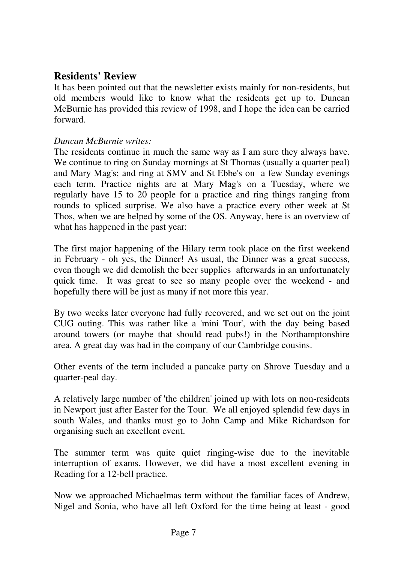## **Residents' Review**

It has been pointed out that the newsletter exists mainly for non-residents, but old members would like to know what the residents get up to. Duncan McBurnie has provided this review of 1998, and I hope the idea can be carried forward.

#### *Duncan McBurnie writes:*

The residents continue in much the same way as I am sure they always have. We continue to ring on Sunday mornings at St Thomas (usually a quarter peal) and Mary Mag's; and ring at SMV and St Ebbe's on a few Sunday evenings each term. Practice nights are at Mary Mag's on a Tuesday, where we regularly have 15 to 20 people for a practice and ring things ranging from rounds to spliced surprise. We also have a practice every other week at St Thos, when we are helped by some of the OS. Anyway, here is an overview of what has happened in the past year:

The first major happening of the Hilary term took place on the first weekend in February - oh yes, the Dinner! As usual, the Dinner was a great success, even though we did demolish the beer supplies afterwards in an unfortunately quick time. It was great to see so many people over the weekend - and hopefully there will be just as many if not more this year.

By two weeks later everyone had fully recovered, and we set out on the joint CUG outing. This was rather like a 'mini Tour', with the day being based around towers (or maybe that should read pubs!) in the Northamptonshire area. A great day was had in the company of our Cambridge cousins.

Other events of the term included a pancake party on Shrove Tuesday and a quarter-peal day.

A relatively large number of 'the children' joined up with lots on non-residents in Newport just after Easter for the Tour. We all enjoyed splendid few days in south Wales, and thanks must go to John Camp and Mike Richardson for organising such an excellent event.

The summer term was quite quiet ringing-wise due to the inevitable interruption of exams. However, we did have a most excellent evening in Reading for a 12-bell practice.

Now we approached Michaelmas term without the familiar faces of Andrew, Nigel and Sonia, who have all left Oxford for the time being at least - good